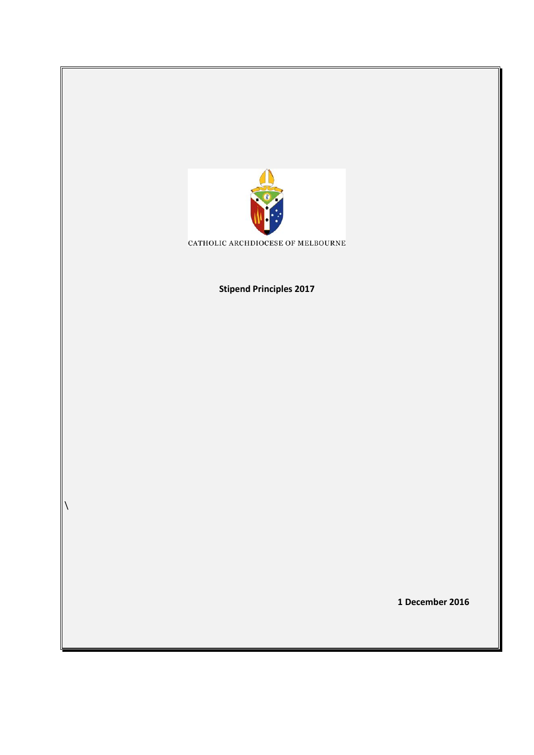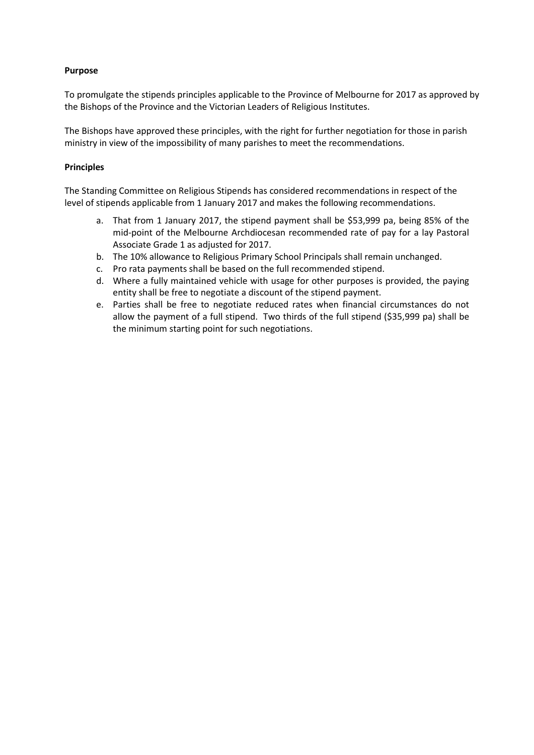## **Purpose**

To promulgate the stipends principles applicable to the Province of Melbourne for 2017 as approved by the Bishops of the Province and the Victorian Leaders of Religious Institutes.

The Bishops have approved these principles, with the right for further negotiation for those in parish ministry in view of the impossibility of many parishes to meet the recommendations.

## **Principles**

The Standing Committee on Religious Stipends has considered recommendations in respect of the level of stipends applicable from 1 January 2017 and makes the following recommendations.

- a. That from 1 January 2017, the stipend payment shall be \$53,999 pa, being 85% of the mid-point of the Melbourne Archdiocesan recommended rate of pay for a lay Pastoral Associate Grade 1 as adjusted for 2017.
- b. The 10% allowance to Religious Primary School Principals shall remain unchanged.
- c. Pro rata payments shall be based on the full recommended stipend.
- d. Where a fully maintained vehicle with usage for other purposes is provided, the paying entity shall be free to negotiate a discount of the stipend payment.
- e. Parties shall be free to negotiate reduced rates when financial circumstances do not allow the payment of a full stipend. Two thirds of the full stipend (\$35,999 pa) shall be the minimum starting point for such negotiations.